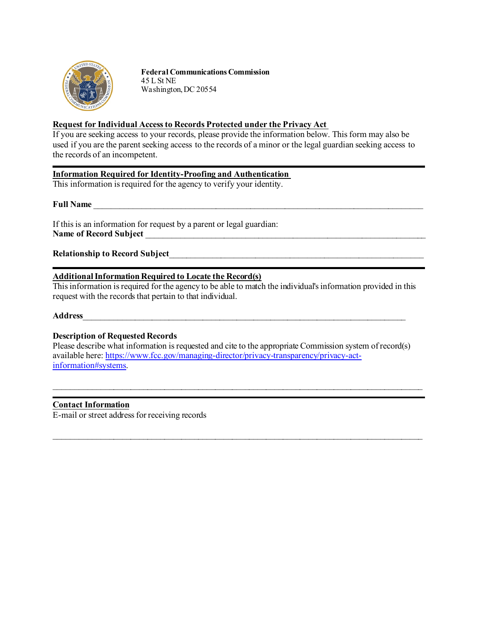

**Federal Communications Commission** 45 L St NE Washington,DC 20554

# **Request for Individual Access to Records Protected under the Privacy Act**

If you are seeking access to your records, please provide the information below. This form may also be used if you are the parent seeking access to the records of a minor or the legal guardian seeking access to the records of an incompetent.

# **Information Required for Identity-Proofing and Authentication**

This information is required for the agency to verify your identity.

**Full Name** \_\_\_\_\_\_\_\_\_\_\_\_\_\_\_\_\_\_\_\_\_\_\_\_\_\_\_\_\_\_\_\_\_\_\_\_\_\_\_\_\_\_\_\_\_\_\_\_\_\_\_\_\_\_\_\_\_\_\_\_\_\_\_\_\_\_\_\_\_\_\_\_\_\_\_\_

If this is an information for request by a parent or legal guardian: **Name of Record Subject** \_\_\_\_\_\_\_\_\_\_\_\_\_\_\_\_\_\_\_\_\_\_\_\_\_\_\_\_\_\_\_\_\_\_\_\_\_\_\_\_\_\_\_\_\_\_\_\_\_\_\_\_\_\_\_\_\_\_\_\_\_\_\_\_\_

**Relationship to Record Subject**\_\_\_\_\_\_\_\_\_\_\_\_\_\_\_\_\_\_\_\_\_\_\_\_\_\_\_\_\_\_\_\_\_\_\_\_\_\_\_\_\_\_\_\_\_\_\_\_\_\_\_\_\_\_\_\_\_\_\_

## **Additional Information Required to Locate the Record(s)**

This information is required for the agency to be able to match the individual's information provided in this request with the records that pertain to that individual.

### **Address**\_\_\_\_\_\_\_\_\_\_\_\_\_\_\_\_\_\_\_\_\_\_\_\_\_\_\_\_\_\_\_\_\_\_\_\_\_\_\_\_\_\_\_\_\_\_\_\_\_\_\_\_\_\_\_\_\_\_\_\_\_\_\_\_\_\_\_\_\_\_\_\_\_\_\_\_

## **Description of Requested Records**

Please describe what information is requested and cite to the appropriate Commission system of record(s) available here[: https://www.fcc.gov/managing-director/privacy-transparency/privacy-act](https://www.fcc.gov/managing-director/privacy-transparency/privacy-act-information#systems)[information#systems.](https://www.fcc.gov/managing-director/privacy-transparency/privacy-act-information#systems)

 $\_$  , and the contribution of the contribution of the contribution of the contribution of the contribution of  $\mathcal{L}_\text{max}$ 

 $\mathcal{L}_\text{max}$  , and the contribution of the contribution of the contribution of the contribution of the contribution of the contribution of the contribution of the contribution of the contribution of the contribution of t

### **Contact Information**

E-mail or street address for receiving records